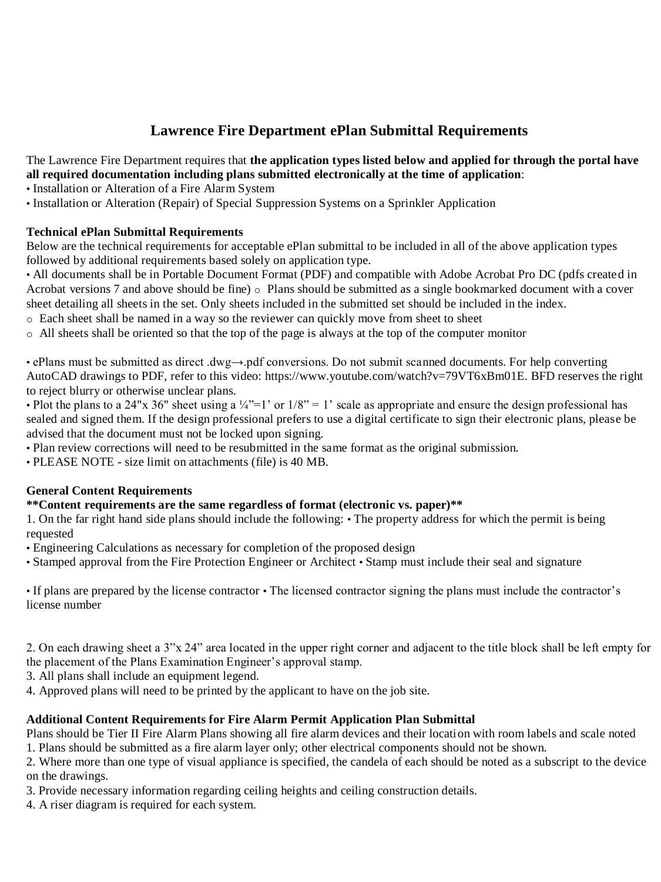# **Lawrence Fire Department ePlan Submittal Requirements**

The Lawrence Fire Department requires that **the application types listed below and applied for through the portal have all required documentation including plans submitted electronically at the time of application**:

• Installation or Alteration of a Fire Alarm System

• Installation or Alteration (Repair) of Special Suppression Systems on a Sprinkler Application

# **Technical ePlan Submittal Requirements**

Below are the technical requirements for acceptable ePlan submittal to be included in all of the above application types followed by additional requirements based solely on application type.

• All documents shall be in Portable Document Format (PDF) and compatible with Adobe Acrobat Pro DC (pdfs created in Acrobat versions 7 and above should be fine)  $\circ$  Plans should be submitted as a single bookmarked document with a cover sheet detailing all sheets in the set. Only sheets included in the submitted set should be included in the index.

o Each sheet shall be named in a way so the reviewer can quickly move from sheet to sheet

o All sheets shall be oriented so that the top of the page is always at the top of the computer monitor

• ePlans must be submitted as direct .dwg→.pdf conversions. Do not submit scanned documents. For help converting AutoCAD drawings to PDF, refer to this video: https://www.youtube.com/watch?v=79VT6xBm01E. BFD reserves the right to reject blurry or otherwise unclear plans.

• Plot the plans to a 24"x 36" sheet using a  $\frac{1}{4}$ "=1' or 1/8" = 1' scale as appropriate and ensure the design professional has sealed and signed them. If the design professional prefers to use a digital certificate to sign their electronic plans, please be advised that the document must not be locked upon signing.

• Plan review corrections will need to be resubmitted in the same format as the original submission.

• PLEASE NOTE - size limit on attachments (file) is 40 MB.

### **General Content Requirements**

**\*\*Content requirements are the same regardless of format (electronic vs. paper)\*\*** 

1. On the far right hand side plans should include the following: • The property address for which the permit is being requested

• Engineering Calculations as necessary for completion of the proposed design

• Stamped approval from the Fire Protection Engineer or Architect • Stamp must include their seal and signature

• If plans are prepared by the license contractor • The licensed contractor signing the plans must include the contractor's license number

2. On each drawing sheet a 3"x 24" area located in the upper right corner and adjacent to the title block shall be left empty for the placement of the Plans Examination Engineer's approval stamp.

3. All plans shall include an equipment legend.

4. Approved plans will need to be printed by the applicant to have on the job site.

### **Additional Content Requirements for Fire Alarm Permit Application Plan Submittal**

Plans should be Tier II Fire Alarm Plans showing all fire alarm devices and their location with room labels and scale noted 1. Plans should be submitted as a fire alarm layer only; other electrical components should not be shown.

2. Where more than one type of visual appliance is specified, the candela of each should be noted as a subscript to the device on the drawings.

3. Provide necessary information regarding ceiling heights and ceiling construction details.

4. A riser diagram is required for each system.